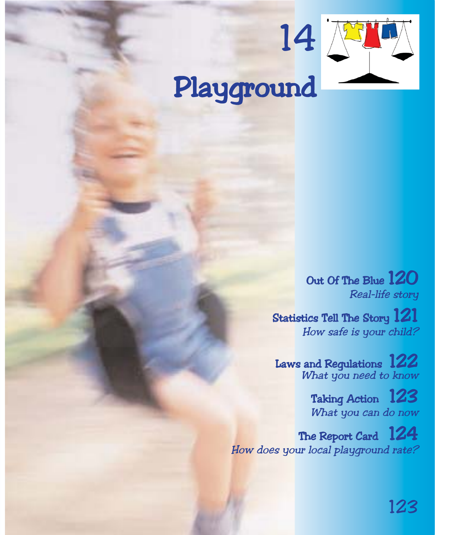# 14 Playground

Out Of The Blue 120 Real-life story

Statistics Tell The Story 121 How safe is your child?

Laws and Regulations  $122$ What you need to know

> Taking Action 123 What you can do now

The Report Card 124 How does your local playground rate?

123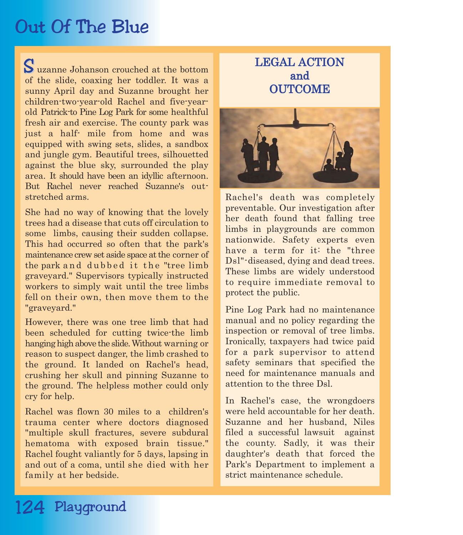# Out Of The Blue

uzanne Johanson crouched at the bottom S of the slide, coaxing her toddler. It was a sunny April day and Suzanne brought her children-two-year-old Rachel and five-yearold Patrick-to Pine Log Park for some healthful fresh air and exercise. The county park was just a half- mile from home and was equipped with swing sets, slides, a sandbox and jungle gym. Beautiful trees, silhouetted against the blue sky, surrounded the play area. It should have been an idyllic afternoon. But Rachel never reached Suzanne's outstretched arms.

She had no way of knowing that the lovely trees had a disease that cuts off circulation to some limbs, causing their sudden collapse. This had occurred so often that the park's maintenance crew set aside space at the corner of the park and dubbed it the "tree limb graveyard." Supervisors typically instructed workers to simply wait until the tree limbs fell on their own, then move them to the "graveyard."

However, there was one tree limb that had been scheduled for cutting twice-the limb hanging high above the slide. Without warning or reason to suspect danger, the limb crashed to the ground. It landed on Rachel's head, crushing her skull and pinning Suzanne to the ground. The helpless mother could only cry for help.

Rachel was flown 30 miles to a children's trauma center where doctors diagnosed "multiple skull fractures, severe subdural hematoma with exposed brain tissue." Rachel fought valiantly for 5 days, lapsing in and out of a coma, until she died with her family at her bedside.

#### LEGAL ACTION and **OUTCOME**



Rachel's death was completely preventable. Our investigation after her death found that falling tree limbs in playgrounds are common nationwide. Safety experts even have a term for it: the "three Dsl"-diseased, dying and dead trees. These limbs are widely understood to require immediate removal to protect the public.

Pine Log Park had no maintenance manual and no policy regarding the inspection or removal of tree limbs. Ironically, taxpayers had twice paid for a park supervisor to attend safety seminars that specified the need for maintenance manuals and attention to the three Dsl.

In Rachel's case, the wrongdoers were held accountable for her death. Suzanne and her husband, Niles filed a successful lawsuit against the county. Sadly, it was their daughter's death that forced the Park's Department to implement a strict maintenance schedule.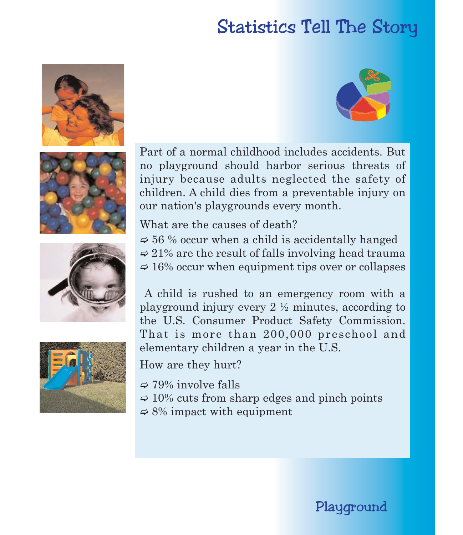# Statistics Tell The Story











Part of a normal childhood includes accidents. But no playground should harbor serious threats of injury because adults neglected the safety of children. A child dies from a preventable injury on our nation's playgrounds every month.

What are the causes of death?

 $\approx$  56 % occur when a child is accidentally hanged  $\approx$  21% are the result of falls involving head trauma  $\approx 16\%$  occur when equipment tips over or collapses

A child is rushed to an emergency room with a playground injury every 2 ½ minutes, according to the U.S. Consumer Product Safety Commission. That is more than 200,000 preschool and elementary children a year in the U.S.

How are they hurt?

- $\Rightarrow$  79% involve falls
- $\approx 10\%$  cuts from sharp edges and pinch points
- $\Rightarrow$  8% impact with equipment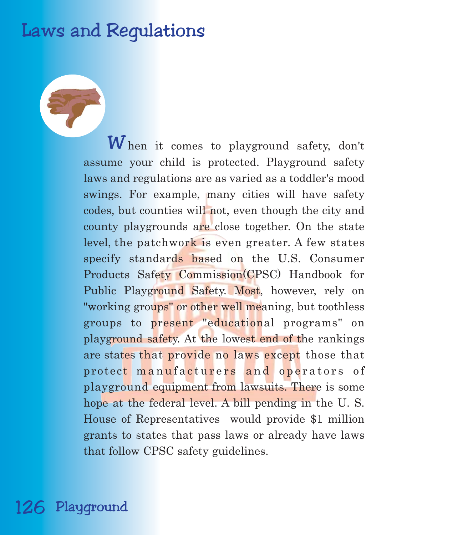# Laws and Regulations

 $\boldsymbol{W}$  hen it comes to playground safety, don't assume your child is protected. Playground safety laws and regulations are as varied as a toddler's mood swings. For example, many cities will have safety codes, but counties will not, even though the city and county playgrounds are close together. On the state level, the patchwork is even greater. A few states specify standards based on the U.S. Consumer Products Safety Commission(CPSC) Handbook for Public Playground Safety. Most, however, rely on "working groups" or other well meaning, but toothless groups to present "educational programs" on playground safety. At the lowest end of the rankings are states that provide no laws except those that protect manufacturers and operators of playground equipment from lawsuits. There is some hope at the federal level. A bill pending in the U. S. House of Representatives would provide \$1 million grants to states that pass laws or already have laws that follow CPSC safety guidelines.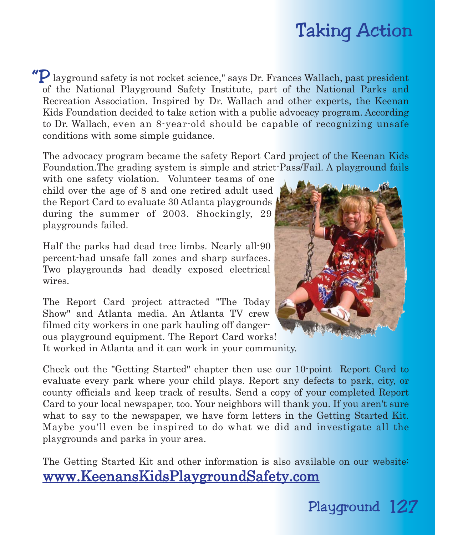# Taking Action

"P layground safety is not rocket science," says Dr. Frances Wallach, past president of the National Playground Safety Institute, part of the National Parks and Recreation Association. Inspired by Dr. Wallach and other experts, the Keenan Kids Foundation decided to take action with a public advocacy program. According to Dr. Wallach, even an 8-year-old should be capable of recognizing unsafe conditions with some simple guidance.

The advocacy program became the safety Report Card project of the Keenan Kids Foundation.The grading system is simple and strict-Pass/Fail. A playground fails

with one safety violation. Volunteer teams of one child over the age of 8 and one retired adult used the Report Card to evaluate 30 Atlanta playgrounds during the summer of 2003. Shockingly, 29 playgrounds failed.

Half the parks had dead tree limbs. Nearly all-90 percent-had unsafe fall zones and sharp surfaces. Two playgrounds had deadly exposed electrical wires.

The Report Card project attracted "The Today Show" and Atlanta media. An Atlanta TV crew filmed city workers in one park hauling off danger-

ous playground equipment. The Report Card works!

It worked in Atlanta and it can work in your community.

Check out the "Getting Started" chapter then use our 10-point Report Card to evaluate every park where your child plays. Report any defects to park, city, or county officials and keep track of results. Send a copy of your completed Report Card to your local newspaper, too. Your neighbors will thank you. If you aren't sure what to say to the newspaper, we have form letters in the Getting Started Kit. Maybe you'll even be inspired to do what we did and investigate all the playgrounds and parks in your area.

The Getting Started Kit and other information is also available on our website: www.KeenansKidsPlaygroundSafety.com

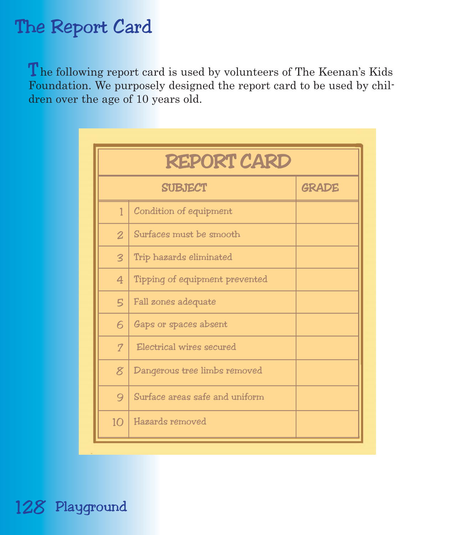# The Report Card

The following report card is used by volunteers of The Keenan's Kids Foundation. We purposely designed the report card to be used by children over the age of 10 years old.

| <b>REPORT CARD</b>      |                                |              |
|-------------------------|--------------------------------|--------------|
| <b>SUBJECT</b>          |                                | <b>GRADE</b> |
| 1                       | Condition of equipment         |              |
| $\overline{2}$          | Surfaces must be smooth        |              |
| $\overline{\mathbf{3}}$ | Trip hazards eliminated        |              |
| $\overline{4}$          | Tipping of equipment prevented |              |
| 5                       | Fall zones adequate            |              |
| 6                       | Gaps or spaces absent          |              |
| 7                       | Electrical wires secured       |              |
| 8 <sup>2</sup>          | Dangerous tree limbs removed   |              |
| 9                       | Surface areas safe and uniform |              |
| 10 <sup>1</sup>         | Hazards removed                |              |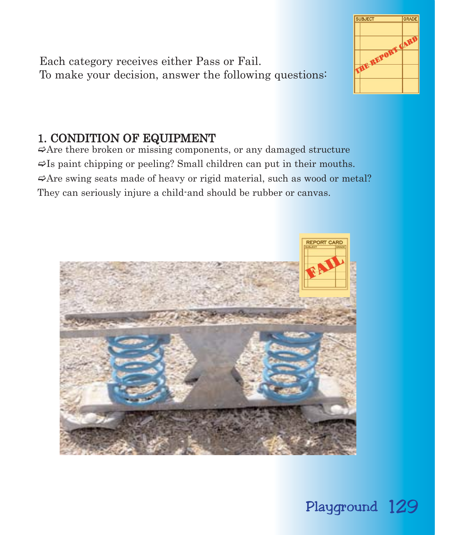Each category receives either Pass or Fail. To make your decision, answer the following questions:

## 1. CONDITION OF EQUIPMENT

 $\Rightarrow$  Are there broken or missing components, or any damaged structure  $\blacktriangleright$ Is paint chipping or peeling? Small children can put in their mouths.  $\Rightarrow$  Are swing seats made of heavy or rigid material, such as wood or metal? They can seriously injure a child-and should be rubber or canvas.





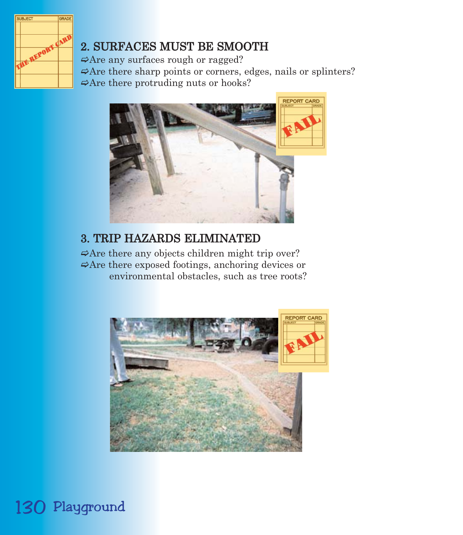

## 2. SURFACES MUST BE SMOOTH

 $\Rightarrow$  Are any surfaces rough or ragged?  $\Rightarrow$  Are there sharp points or corners, edges, nails or splinters?  $\Rightarrow$  Are there protruding nuts or hooks?



#### 3. TRIP HAZARDS ELIMINATED

 $\Rightarrow$  Are there any objects children might trip over?  $\Rightarrow$  Are there exposed footings, anchoring devices or environmental obstacles, such as tree roots?



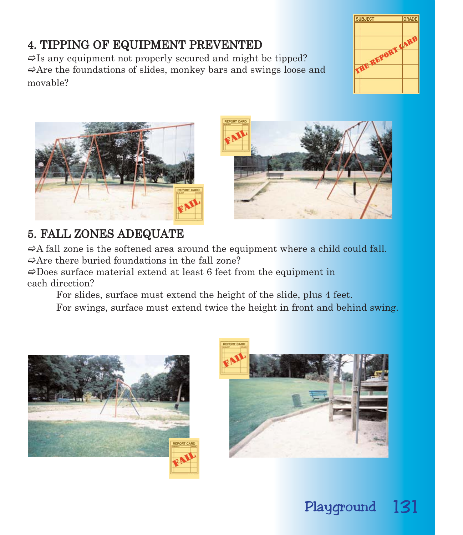### 4. TIPPING OF EQUIPMENT PREVENTED

 $\blacktriangleright$ Is any equipment not properly secured and might be tipped?  $\Rightarrow$  Are the foundations of slides, monkey bars and swings loose and movable?





## 5. FALL ZONES ADEQUATE

 $\Rightarrow$  A fall zone is the softened area around the equipment where a child could fall.  $\Rightarrow$  Are there buried foundations in the fall zone?

 $\Rightarrow$ Does surface material extend at least 6 feet from the equipment in each direction?

For slides, surface must extend the height of the slide, plus 4 feet.

For swings, surface must extend twice the height in front and behind swing.



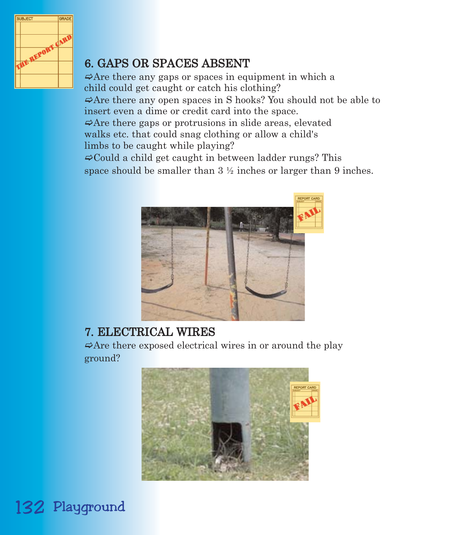

## 6. GAPS OR SPACES ABSENT

 $\Rightarrow$  Are there any gaps or spaces in equipment in which a child could get caught or catch his clothing?  $\Rightarrow$  Are there any open spaces in S hooks? You should not be able to insert even a dime or credit card into the space.  $\Rightarrow$  Are there gaps or protrusions in slide areas, elevated walks etc. that could snag clothing or allow a child's limbs to be caught while playing?

 $\Rightarrow$  Could a child get caught in between ladder rungs? This space should be smaller than  $3 \frac{1}{2}$  inches or larger than 9 inches.



#### 7. ELECTRICAL WIRES

 $\Rightarrow$  Are there exposed electrical wires in or around the play ground?

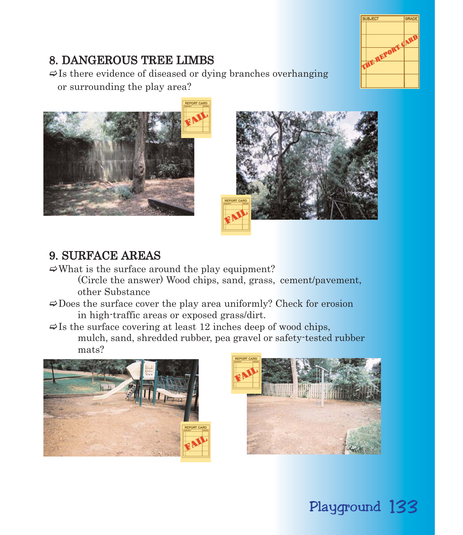# SUBJEC  $\mathbf{d}$ REPORT

## 8. DANGEROUS TREE LIMBS

 $\Rightarrow$  Is there evidence of diseased or dying branches overhanging or surrounding the play area?





#### 9. SURFACE AREAS

- $\Rightarrow$ What is the surface around the play equipment?
	- (Circle the answer) Wood chips, sand, grass, cement/pavement, other Substance
- $\Rightarrow$  Does the surface cover the play area uniformly? Check for erosion in high-traffic areas or exposed grass/dirt.
- $\Rightarrow$  Is the surface covering at least 12 inches deep of wood chips, mulch, sand, shredded rubber, pea gravel or safety-tested rubber mats?